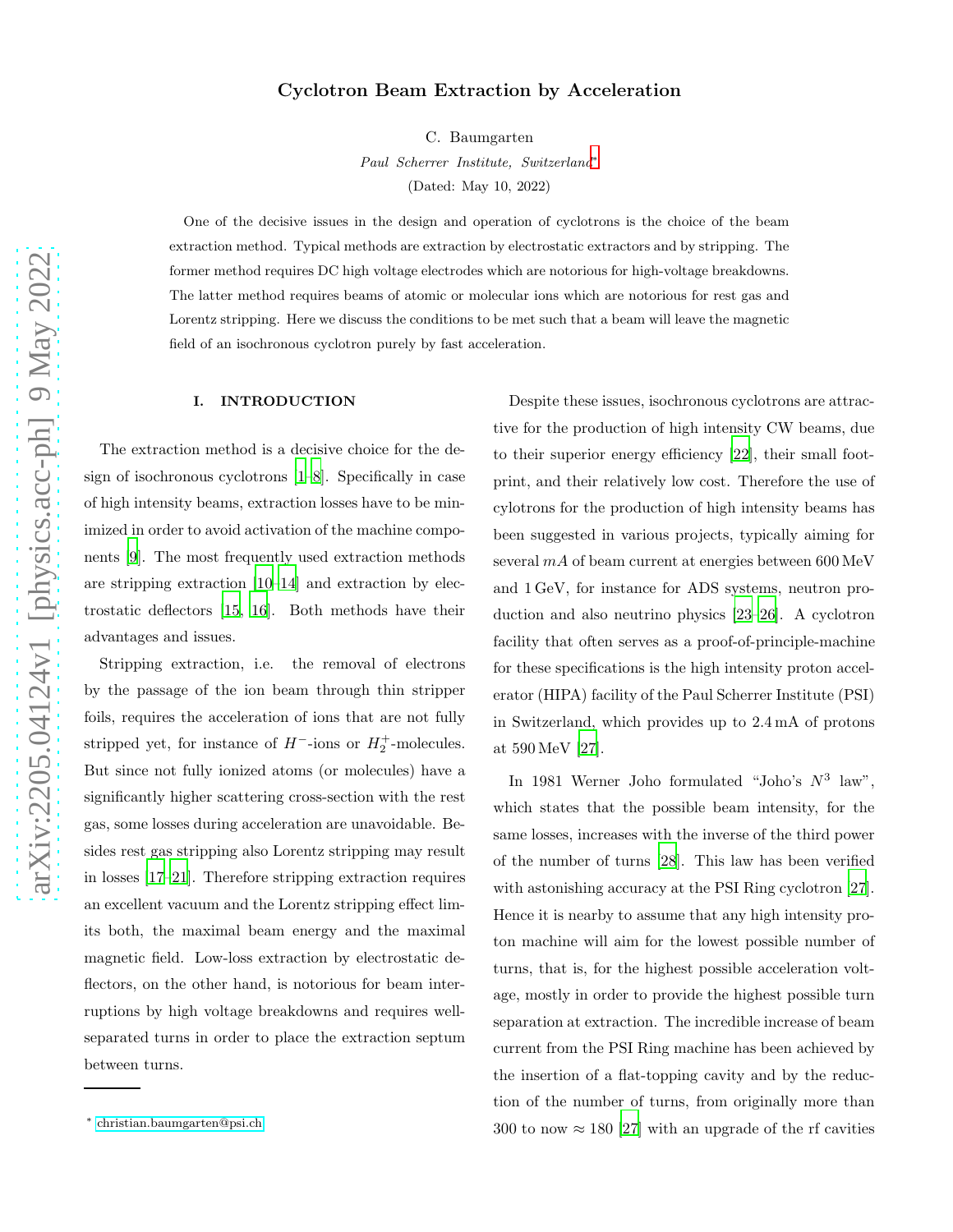## Cyclotron Beam Extraction by Acceleration

C. Baumgarten

*Paul Scherrer Institute, Switzerland*[∗](#page-0-0)

(Dated: May 10, 2022)

One of the decisive issues in the design and operation of cyclotrons is the choice of the beam extraction method. Typical methods are extraction by electrostatic extractors and by stripping. The former method requires DC high voltage electrodes which are notorious for high-voltage breakdowns. The latter method requires beams of atomic or molecular ions which are notorious for rest gas and Lorentz stripping. Here we discuss the conditions to be met such that a beam will leave the magnetic field of an isochronous cyclotron purely by fast acceleration.

## I. INTRODUCTION

The extraction method is a decisive choice for the design of isochronous cyclotrons [\[1](#page-7-0)[–8](#page-8-0)]. Specifically in case of high intensity beams, extraction losses have to be minimized in order to avoid activation of the machine components [\[9](#page-8-1)]. The most frequently used extraction methods are stripping extraction [\[10](#page-8-2)[–14](#page-8-3)] and extraction by electrostatic deflectors [\[15](#page-8-4), [16\]](#page-8-5). Both methods have their advantages and issues.

Stripping extraction, i.e. the removal of electrons by the passage of the ion beam through thin stripper foils, requires the acceleration of ions that are not fully stripped yet, for instance of  $H^-$ -ions or  $H_2^+$ -molecules. But since not fully ionized atoms (or molecules) have a significantly higher scattering cross-section with the rest gas, some losses during acceleration are unavoidable. Besides rest gas stripping also Lorentz stripping may result in losses [\[17–](#page-8-6)[21\]](#page-8-7). Therefore stripping extraction requires an excellent vacuum and the Lorentz stripping effect limits both, the maximal beam energy and the maximal magnetic field. Low-loss extraction by electrostatic deflectors, on the other hand, is notorious for beam interruptions by high voltage breakdowns and requires wellseparated turns in order to place the extraction septum between turns.

Despite these issues, isochronous cyclotrons are attractive for the production of high intensity CW beams, due to their superior energy efficiency [\[22](#page-8-8)], their small footprint, and their relatively low cost. Therefore the use of cylotrons for the production of high intensity beams has been suggested in various projects, typically aiming for several mA of beam current at energies between 600 MeV and 1 GeV, for instance for ADS systems, neutron production and also neutrino physics [\[23](#page-8-9)[–26](#page-9-0)]. A cyclotron facility that often serves as a proof-of-principle-machine for these specifications is the high intensity proton accelerator (HIPA) facility of the Paul Scherrer Institute (PSI) in Switzerland, which provides up to 2.4 mA of protons at 590 MeV [\[27](#page-9-1)].

In 1981 Werner Joho formulated "Joho's  $N^3$  law", which states that the possible beam intensity, for the same losses, increases with the inverse of the third power of the number of turns [\[28\]](#page-9-2). This law has been verified with astonishing accuracy at the PSI Ring cyclotron [\[27\]](#page-9-1). Hence it is nearby to assume that any high intensity proton machine will aim for the lowest possible number of turns, that is, for the highest possible acceleration voltage, mostly in order to provide the highest possible turn separation at extraction. The incredible increase of beam current from the PSI Ring machine has been achieved by the insertion of a flat-topping cavity and by the reduction of the number of turns, from originally more than 300 to now  $\approx 180$  [\[27](#page-9-1)] with an upgrade of the rf cavities

<span id="page-0-0"></span><sup>∗</sup> [christian.baumgarten@psi.ch](mailto:christian.baumgarten@psi.ch)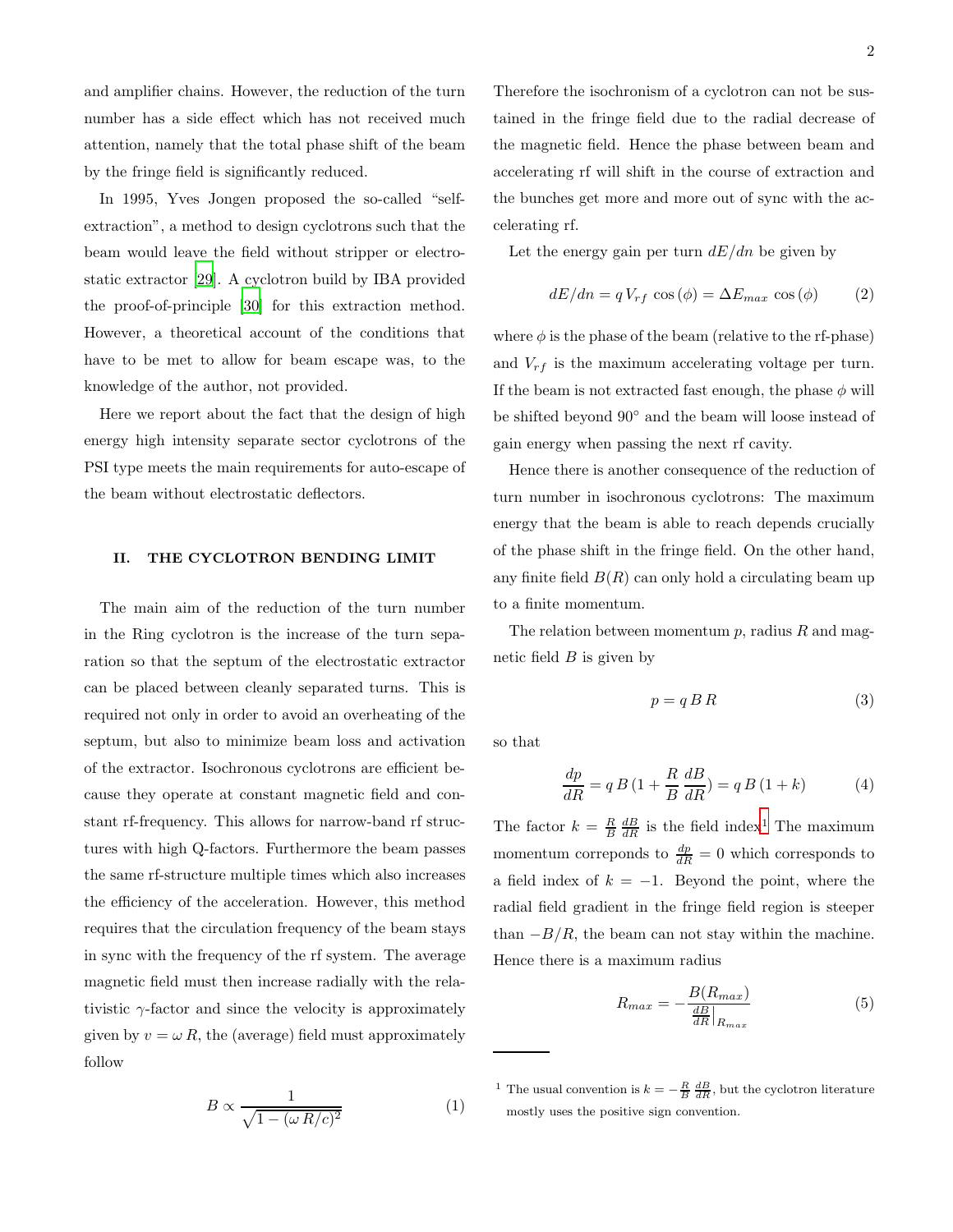and amplifier chains. However, the reduction of the turn number has a side effect which has not received much attention, namely that the total phase shift of the beam by the fringe field is significantly reduced.

In 1995, Yves Jongen proposed the so-called "selfextraction", a method to design cyclotrons such that the beam would leave the field without stripper or electrostatic extractor [\[29\]](#page-9-3). A cyclotron build by IBA provided the proof-of-principle [\[30\]](#page-9-4) for this extraction method. However, a theoretical account of the conditions that have to be met to allow for beam escape was, to the knowledge of the author, not provided.

Here we report about the fact that the design of high energy high intensity separate sector cyclotrons of the PSI type meets the main requirements for auto-escape of the beam without electrostatic deflectors.

#### II. THE CYCLOTRON BENDING LIMIT

The main aim of the reduction of the turn number in the Ring cyclotron is the increase of the turn separation so that the septum of the electrostatic extractor can be placed between cleanly separated turns. This is required not only in order to avoid an overheating of the septum, but also to minimize beam loss and activation of the extractor. Isochronous cyclotrons are efficient because they operate at constant magnetic field and constant rf-frequency. This allows for narrow-band rf structures with high Q-factors. Furthermore the beam passes the same rf-structure multiple times which also increases the efficiency of the acceleration. However, this method requires that the circulation frequency of the beam stays in sync with the frequency of the rf system. The average magnetic field must then increase radially with the relativistic  $\gamma$ -factor and since the velocity is approximately given by  $v = \omega R$ , the (average) field must approximately follow

$$
B \propto \frac{1}{\sqrt{1 - (\omega R/c)^2}}\tag{1}
$$

Therefore the isochronism of a cyclotron can not be sustained in the fringe field due to the radial decrease of the magnetic field. Hence the phase between beam and accelerating rf will shift in the course of extraction and the bunches get more and more out of sync with the accelerating rf.

Let the energy gain per turn  $dE/dn$  be given by

<span id="page-1-1"></span>
$$
dE/dn = qV_{rf} \cos(\phi) = \Delta E_{max} \cos(\phi) \qquad (2)
$$

where  $\phi$  is the phase of the beam (relative to the rf-phase) and  $V_{rf}$  is the maximum accelerating voltage per turn. If the beam is not extracted fast enough, the phase  $\phi$  will be shifted beyond 90◦ and the beam will loose instead of gain energy when passing the next rf cavity.

Hence there is another consequence of the reduction of turn number in isochronous cyclotrons: The maximum energy that the beam is able to reach depends crucially of the phase shift in the fringe field. On the other hand, any finite field  $B(R)$  can only hold a circulating beam up to a finite momentum.

The relation between momentum  $p$ , radius  $R$  and magnetic field  $B$  is given by

$$
p = q \, B \, R \tag{3}
$$

so that

<span id="page-1-2"></span>
$$
\frac{dp}{dR} = qB\left(1 + \frac{R}{B}\frac{dB}{dR}\right) = qB\left(1 + k\right) \tag{4}
$$

The factor  $k = \frac{R}{B} \frac{dB}{dR}$  is the field index<sup>[1](#page-1-0)</sup> The maximum momentum corresponds to  $\frac{dp}{dR} = 0$  which corresponds to a field index of  $k = -1$ . Beyond the point, where the radial field gradient in the fringe field region is steeper than  $-B/R$ , the beam can not stay within the machine. Hence there is a maximum radius

$$
R_{max} = -\frac{B(R_{max})}{\frac{dB}{dR}|_{R_{max}}} \tag{5}
$$

<span id="page-1-0"></span><sup>&</sup>lt;sup>1</sup> The usual convention is  $k = -\frac{R}{B} \frac{dB}{dR}$ , but the cyclotron literature mostly uses the positive sign convention.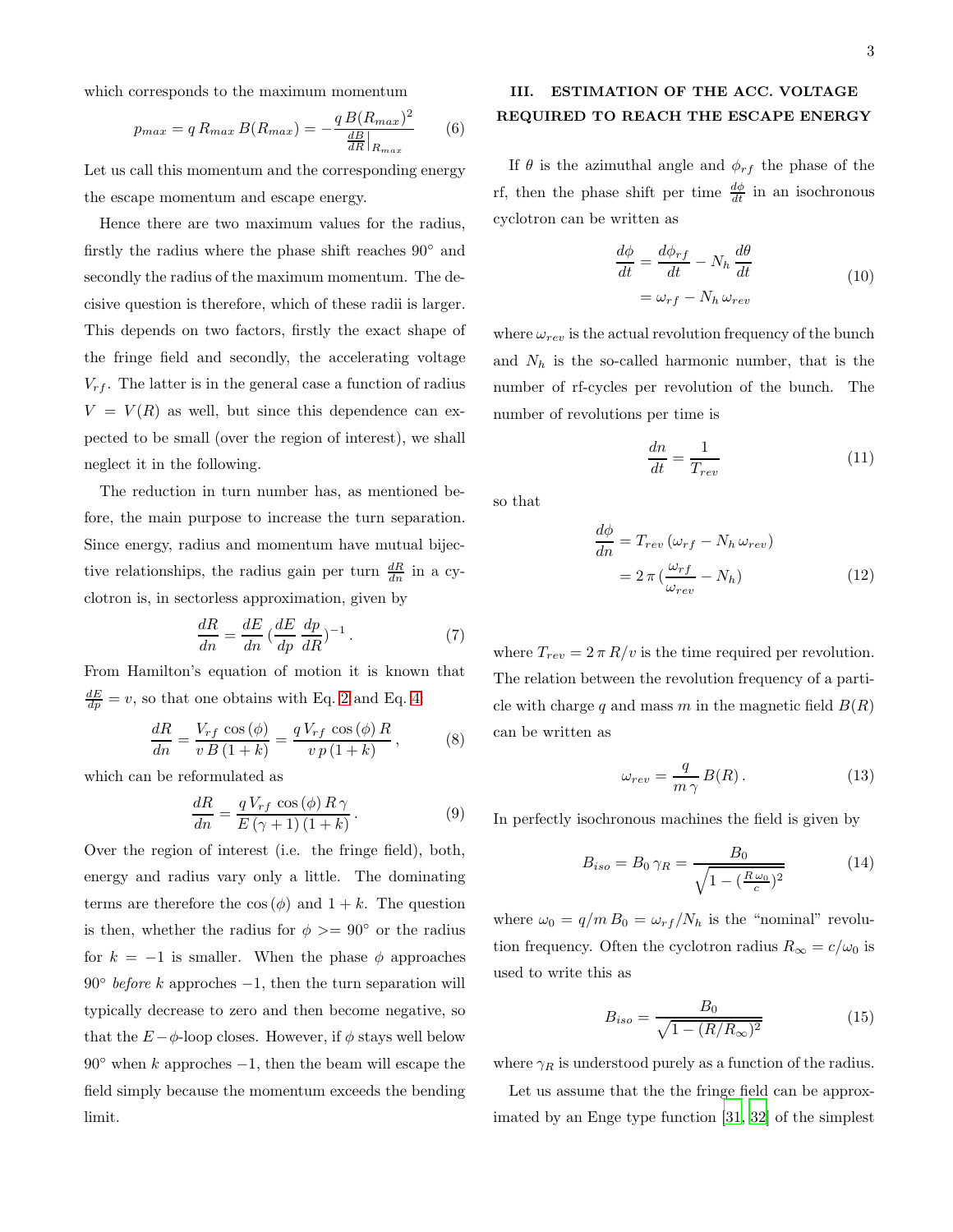which corresponds to the maximum momentum

$$
p_{max} = q R_{max} B(R_{max}) = -\frac{q B(R_{max})^2}{\frac{dB}{dR}|_{R_{max}}} \qquad (6)
$$

Let us call this momentum and the corresponding energy the escape momentum and escape energy.

Hence there are two maximum values for the radius, firstly the radius where the phase shift reaches 90◦ and secondly the radius of the maximum momentum. The decisive question is therefore, which of these radii is larger. This depends on two factors, firstly the exact shape of the fringe field and secondly, the accelerating voltage  $V_{rf}$ . The latter is in the general case a function of radius  $V = V(R)$  as well, but since this dependence can expected to be small (over the region of interest), we shall neglect it in the following.

The reduction in turn number has, as mentioned before, the main purpose to increase the turn separation. Since energy, radius and momentum have mutual bijective relationships, the radius gain per turn  $\frac{dR}{dn}$  in a cyclotron is, in sectorless approximation, given by

$$
\frac{dR}{dn} = \frac{dE}{dn} \left(\frac{dE}{dp}\frac{dp}{dR}\right)^{-1}.
$$
 (7)

From Hamilton's equation of motion it is known that  $\frac{dE}{dp} = v$ , so that one obtains with Eq. [2](#page-1-1) and Eq. [4:](#page-1-2)

$$
\frac{dR}{dn} = \frac{V_{rf} \cos(\phi)}{v \, B \left(1 + k\right)} = \frac{q \, V_{rf} \, \cos(\phi) \, R}{v \, p \left(1 + k\right)}\,,\tag{8}
$$

which can be reformulated as

$$
\frac{dR}{dn} = \frac{q V_{rf} \cos(\phi) R \gamma}{E(\gamma + 1) (1 + k)}.
$$
\n(9)

Over the region of interest (i.e. the fringe field), both, energy and radius vary only a little. The dominating terms are therefore the  $\cos(\phi)$  and  $1 + k$ . The question is then, whether the radius for  $\phi \geq 90^{\circ}$  or the radius for  $k = -1$  is smaller. When the phase  $\phi$  approaches  $90°$  *before k* approches  $-1$ , then the turn separation will typically decrease to zero and then become negative, so that the  $E-\phi$ -loop closes. However, if  $\phi$  stays well below  $90°$  when k approches  $-1$ , then the beam will escape the field simply because the momentum exceeds the bending limit.

## III. ESTIMATION OF THE ACC. VOLTAGE REQUIRED TO REACH THE ESCAPE ENERGY

If  $\theta$  is the azimuthal angle and  $\phi_{rf}$  the phase of the rf, then the phase shift per time  $\frac{d\phi}{dt}$  in an isochronous cyclotron can be written as

$$
\frac{d\phi}{dt} = \frac{d\phi_{rf}}{dt} - N_h \frac{d\theta}{dt}
$$
\n
$$
= \omega_{rf} - N_h \omega_{rev}
$$
\n(10)

where  $\omega_{rev}$  is the actual revolution frequency of the bunch and  $N_h$  is the so-called harmonic number, that is the number of rf-cycles per revolution of the bunch. The number of revolutions per time is

$$
\frac{dn}{dt} = \frac{1}{T_{rev}}\tag{11}
$$

<span id="page-2-0"></span>so that

$$
\frac{d\phi}{dn} = T_{rev} \left( \omega_{rf} - N_h \omega_{rev} \right)
$$

$$
= 2 \pi \left( \frac{\omega_{rf}}{\omega_{rev}} - N_h \right) \tag{12}
$$

where  $T_{rev} = 2 \pi R/v$  is the time required per revolution. The relation between the revolution frequency of a particle with charge q and mass m in the magnetic field  $B(R)$ can be written as

$$
\omega_{rev} = \frac{q}{m\,\gamma} \, B(R) \,. \tag{13}
$$

In perfectly isochronous machines the field is given by

$$
B_{iso} = B_0 \gamma_R = \frac{B_0}{\sqrt{1 - (\frac{R\omega_0}{c})^2}} \tag{14}
$$

where  $\omega_0 = q/m B_0 = \omega_{rf}/N_h$  is the "nominal" revolution frequency. Often the cyclotron radius  $R_{\infty} = c/\omega_0$  is used to write this as

$$
B_{iso} = \frac{B_0}{\sqrt{1 - (R/R_{\infty})^2}}
$$
(15)

where  $\gamma_R$  is understood purely as a function of the radius.

Let us assume that the the fringe field can be approximated by an Enge type function [\[31,](#page-9-5) [32](#page-9-6)] of the simplest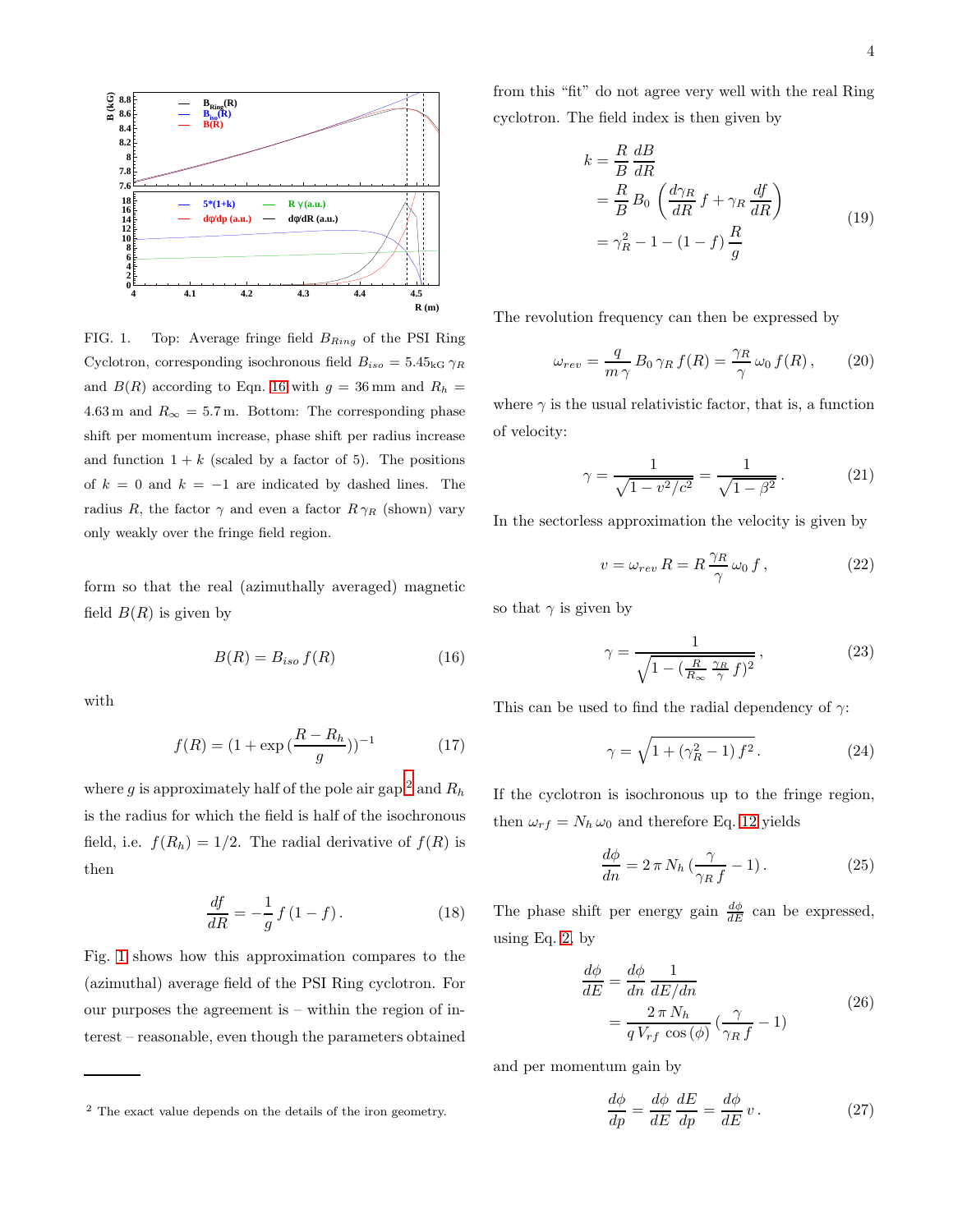

<span id="page-3-2"></span>FIG. 1. Top: Average fringe field  $B_{Ring}$  of the PSI Ring Cyclotron, corresponding isochronous field  $B_{iso} = 5.45_{\text{kG}} \gamma_R$ and  $B(R)$  according to Eqn. [16](#page-3-0) with  $g = 36$  mm and  $R_h =$ 4.63 m and  $R_{\infty} = 5.7$  m. Bottom: The corresponding phase shift per momentum increase, phase shift per radius increase and function  $1 + k$  (scaled by a factor of 5). The positions of  $k = 0$  and  $k = -1$  are indicated by dashed lines. The radius R, the factor  $\gamma$  and even a factor  $R \gamma_R$  (shown) vary only weakly over the fringe field region.

form so that the real (azimuthally averaged) magnetic field  $B(R)$  is given by

<span id="page-3-0"></span>
$$
B(R) = B_{iso} f(R) \tag{16}
$$

with

$$
f(R) = (1 + \exp\left(\frac{R - R_h}{g}\right))^{-1}
$$
 (17)

where g is approximately half of the pole air gap  $^2$  $^2$  and  $R_h$ is the radius for which the field is half of the isochronous field, i.e.  $f(R_h) = 1/2$ . The radial derivative of  $f(R)$  is then

<span id="page-3-6"></span>
$$
\frac{df}{dR} = -\frac{1}{g} f (1 - f).
$$
 (18)

Fig. [1](#page-3-2) shows how this approximation compares to the (azimuthal) average field of the PSI Ring cyclotron. For our purposes the agreement is – within the region of interest – reasonable, even though the parameters obtained from this "fit" do not agree very well with the real Ring cyclotron. The field index is then given by

<span id="page-3-4"></span>
$$
k = \frac{R}{B} \frac{dB}{dR}
$$
  
=  $\frac{R}{B} B_0 \left( \frac{d\gamma_R}{dR} f + \gamma_R \frac{df}{dR} \right)$   
=  $\gamma_R^2 - 1 - (1 - f) \frac{R}{g}$  (19)

The revolution frequency can then be expressed by

$$
\omega_{rev} = \frac{q}{m\,\gamma} \, B_0 \, \gamma_R \, f(R) = \frac{\gamma_R}{\gamma} \, \omega_0 \, f(R) \,, \tag{20}
$$

where  $\gamma$  is the usual relativistic factor, that is, a function of velocity:

$$
\gamma = \frac{1}{\sqrt{1 - v^2/c^2}} = \frac{1}{\sqrt{1 - \beta^2}}.
$$
 (21)

In the sectorless approximation the velocity is given by

<span id="page-3-3"></span>
$$
v = \omega_{rev} R = R \frac{\gamma_R}{\gamma} \omega_0 f , \qquad (22)
$$

so that  $\gamma$  is given by

$$
\gamma = \frac{1}{\sqrt{1 - \left(\frac{R}{R_{\infty}} \frac{\gamma_R}{\gamma} f\right)^2}},\tag{23}
$$

This can be used to find the radial dependency of  $\gamma$ :

<span id="page-3-5"></span>
$$
\gamma = \sqrt{1 + (\gamma_R^2 - 1) f^2}.
$$
 (24)

If the cyclotron is isochronous up to the fringe region, then  $\omega_{rf} = N_h \omega_0$  and therefore Eq. [12](#page-2-0) yields

$$
\frac{d\phi}{dn} = 2\,\pi\,N_h\,\left(\frac{\gamma}{\gamma_R\,f} - 1\right). \tag{25}
$$

The phase shift per energy gain  $\frac{d\phi}{dE}$  can be expressed, using Eq. [2,](#page-1-1) by

$$
\frac{d\phi}{dE} = \frac{d\phi}{dn} \frac{1}{dE/dn} \n= \frac{2 \pi N_h}{q V_{rf} \cos(\phi)} \left(\frac{\gamma}{\gamma_R f} - 1\right)
$$
\n(26)

and per momentum gain by

$$
\frac{d\phi}{dp} = \frac{d\phi}{dE}\frac{dE}{dp} = \frac{d\phi}{dE}v.
$$
 (27)

<span id="page-3-1"></span><sup>2</sup> The exact value depends on the details of the iron geometry.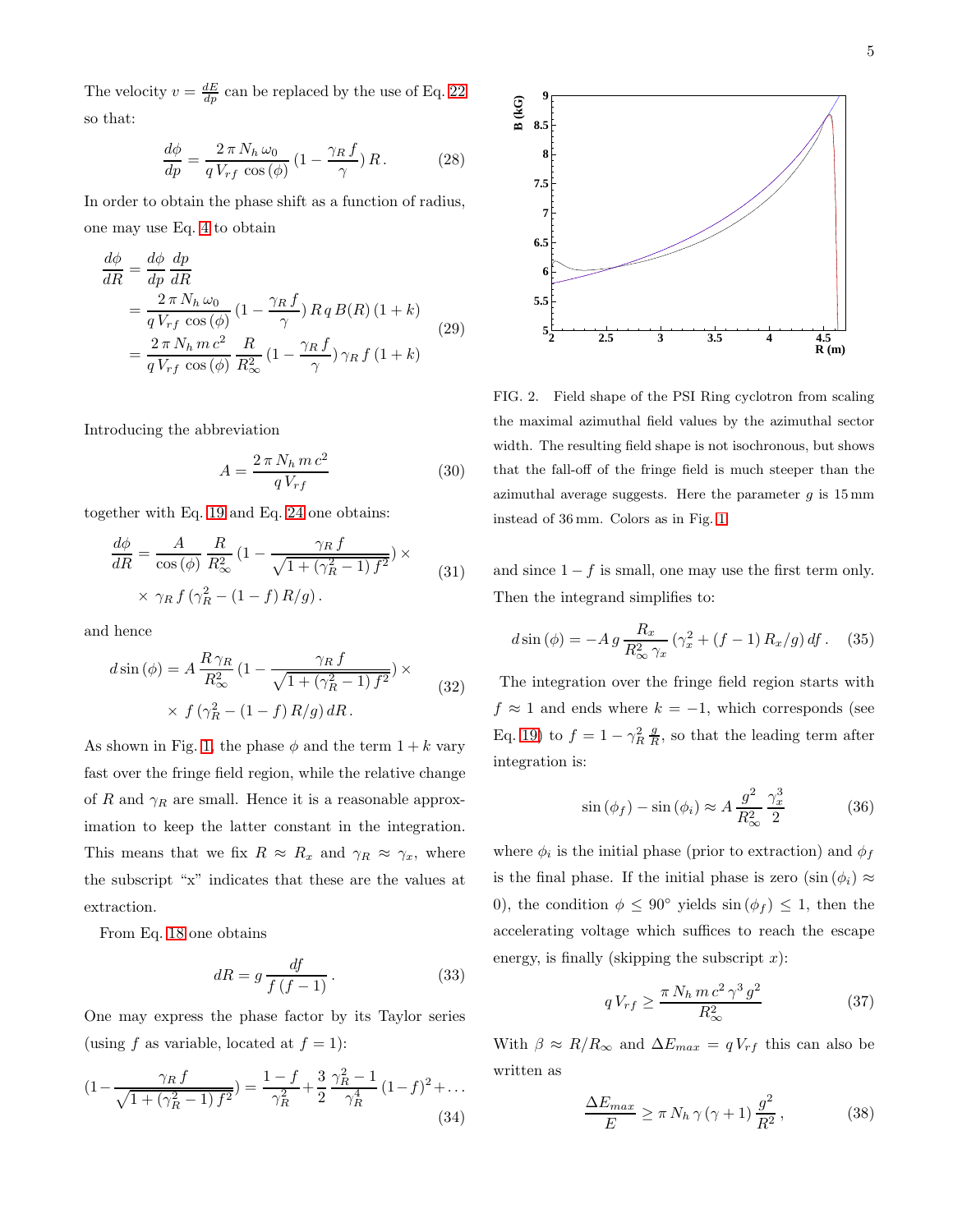The velocity  $v = \frac{dE}{dp}$  can be replaced by the use of Eq. [22](#page-3-3) so that:

$$
\frac{d\phi}{dp} = \frac{2\,\pi\,N_h\,\omega_0}{q\,V_{rf}\,\cos\left(\phi\right)}\left(1 - \frac{\gamma_R\,f}{\gamma}\right)R\,. \tag{28}
$$

In order to obtain the phase shift as a function of radius, one may use Eq. [4](#page-1-2) to obtain

<span id="page-4-1"></span>
$$
\frac{d\phi}{dR} = \frac{d\phi}{dp} \frac{dp}{dR}
$$
\n
$$
= \frac{2 \pi N_h \omega_0}{q V_{rf} \cos(\phi)} (1 - \frac{\gamma_R f}{\gamma}) R q B(R) (1 + k)
$$
\n
$$
= \frac{2 \pi N_h m c^2}{q V_{rf} \cos(\phi)} \frac{R}{R_{\infty}^2} (1 - \frac{\gamma_R f}{\gamma}) \gamma_R f (1 + k)
$$
\n(29)

Introducing the abbreviation

$$
A = \frac{2 \pi N_h m c^2}{q V_{rf}} \tag{30}
$$

together with Eq. [19](#page-3-4) and Eq. [24](#page-3-5) one obtains:

$$
\frac{d\phi}{dR} = \frac{A}{\cos\left(\phi\right)} \frac{R}{R_{\infty}^2} \left(1 - \frac{\gamma_R f}{\sqrt{1 + (\gamma_R^2 - 1) f^2}}\right) \times \qquad (31)
$$

$$
\times \gamma_R f \left(\gamma_R^2 - (1 - f) R/g\right).
$$

and hence

$$
d\sin\left(\phi\right) = A \frac{R \gamma_R}{R_{\infty}^2} \left(1 - \frac{\gamma_R f}{\sqrt{1 + (\gamma_R^2 - 1) f^2}}\right) \times \qquad (32)
$$

$$
\times f\left(\gamma_R^2 - (1 - f) R/g\right) dR.
$$

As shown in Fig. [1,](#page-3-2) the phase  $\phi$  and the term  $1 + k$  vary fast over the fringe field region, while the relative change of R and  $\gamma_R$  are small. Hence it is a reasonable approximation to keep the latter constant in the integration. This means that we fix  $R \approx R_x$  and  $\gamma_R \approx \gamma_x$ , where the subscript "x" indicates that these are the values at extraction.

From Eq. [18](#page-3-6) one obtains

$$
dR = g \frac{df}{f\left(f - 1\right)}\,. \tag{33}
$$

One may express the phase factor by its Taylor series (using f as variable, located at  $f = 1$ ):

$$
(1 - \frac{\gamma_R f}{\sqrt{1 + (\gamma_R^2 - 1) f^2}}) = \frac{1 - f}{\gamma_R^2} + \frac{3}{2} \frac{\gamma_R^2 - 1}{\gamma_R^4} (1 - f)^2 + \dots
$$
\n(34)



<span id="page-4-2"></span>FIG. 2. Field shape of the PSI Ring cyclotron from scaling the maximal azimuthal field values by the azimuthal sector width. The resulting field shape is not isochronous, but shows that the fall-off of the fringe field is much steeper than the azimuthal average suggests. Here the parameter  $g$  is  $15 \text{ mm}$ instead of 36 mm. Colors as in Fig. [1.](#page-3-2)

and since  $1 - f$  is small, one may use the first term only. Then the integrand simplifies to:

$$
d\sin\left(\phi\right) = -A\,g\,\frac{R_x}{R_\infty^2\,\gamma_x}\,\left(\gamma_x^2 + (f - 1)\,R_x/g\right)df\,. \tag{35}
$$

The integration over the fringe field region starts with  $f \approx 1$  and ends where  $k = -1$ , which corresponds (see Eq. [19\)](#page-3-4) to  $f = 1 - \gamma_R^2 \frac{g}{R}$ , so that the leading term after integration is:

$$
\sin\left(\phi_f\right) - \sin\left(\phi_i\right) \approx A \, \frac{g^2}{R_\infty^2} \, \frac{\gamma_x^3}{2} \tag{36}
$$

where  $\phi_i$  is the initial phase (prior to extraction) and  $\phi_f$ is the final phase. If the initial phase is zero  $(\sin (\phi_i) \approx$ 0), the condition  $\phi \leq 90^{\circ}$  yields  $\sin (\phi_f) \leq 1$ , then the accelerating voltage which suffices to reach the escape energy, is finally (skipping the subscript  $x$ ):

<span id="page-4-0"></span>
$$
qV_{rf} \ge \frac{\pi N_h m c^2 \gamma^3 g^2}{R_{\infty}^2} \tag{37}
$$

With  $\beta \approx R/R_{\infty}$  and  $\Delta E_{max} = qV_{rf}$  this can also be written as

$$
\frac{\Delta E_{max}}{E} \ge \pi N_h \gamma (\gamma + 1) \frac{g^2}{R^2},
$$
\n(38)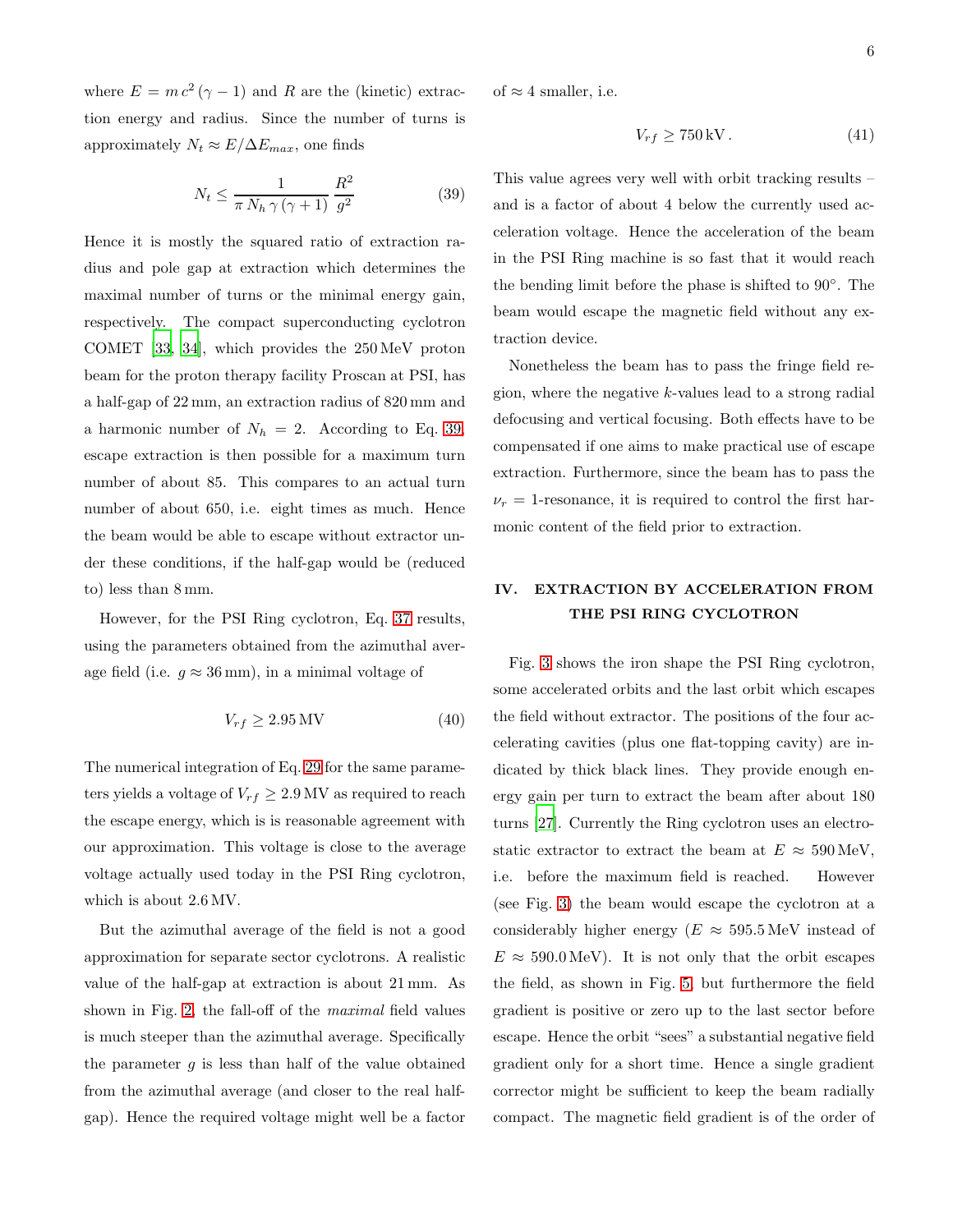where  $E = mc^2(\gamma - 1)$  and R are the (kinetic) extraction energy and radius. Since the number of turns is approximately  $N_t \approx E/\Delta E_{max}$ , one finds

<span id="page-5-0"></span>
$$
N_t \le \frac{1}{\pi N_h \gamma (\gamma + 1)} \frac{R^2}{g^2} \tag{39}
$$

Hence it is mostly the squared ratio of extraction radius and pole gap at extraction which determines the maximal number of turns or the minimal energy gain, respectively. The compact superconducting cyclotron COMET [\[33,](#page-9-7) [34](#page-9-8)], which provides the 250 MeV proton beam for the proton therapy facility Proscan at PSI, has a half-gap of 22 mm, an extraction radius of 820 mm and a harmonic number of  $N_h = 2$ . According to Eq. [39,](#page-5-0) escape extraction is then possible for a maximum turn number of about 85. This compares to an actual turn number of about 650, i.e. eight times as much. Hence the beam would be able to escape without extractor under these conditions, if the half-gap would be (reduced to) less than 8 mm.

However, for the PSI Ring cyclotron, Eq. [37](#page-4-0) results, using the parameters obtained from the azimuthal average field (i.e.  $q \approx 36 \,\mathrm{mm}$ ), in a minimal voltage of

$$
V_{rf} \ge 2.95 \,\text{MV} \tag{40}
$$

The numerical integration of Eq. [29](#page-4-1) for the same parameters yields a voltage of  $V_{rf} \geq 2.9 \text{ MV}$  as required to reach the escape energy, which is is reasonable agreement with our approximation. This voltage is close to the average voltage actually used today in the PSI Ring cyclotron, which is about 2.6 MV.

But the azimuthal average of the field is not a good approximation for separate sector cyclotrons. A realistic value of the half-gap at extraction is about 21 mm. As shown in Fig. [2,](#page-4-2) the fall-off of the maximal field values is much steeper than the azimuthal average. Specifically the parameter  $q$  is less than half of the value obtained from the azimuthal average (and closer to the real halfgap). Hence the required voltage might well be a factor

of  $\approx 4$  smaller, i.e.

$$
V_{rf} \ge 750 \,\text{kV} \,. \tag{41}
$$

This value agrees very well with orbit tracking results – and is a factor of about 4 below the currently used acceleration voltage. Hence the acceleration of the beam in the PSI Ring machine is so fast that it would reach the bending limit before the phase is shifted to 90◦ . The beam would escape the magnetic field without any extraction device.

Nonetheless the beam has to pass the fringe field region, where the negative k-values lead to a strong radial defocusing and vertical focusing. Both effects have to be compensated if one aims to make practical use of escape extraction. Furthermore, since the beam has to pass the  $\nu_r = 1$ -resonance, it is required to control the first harmonic content of the field prior to extraction.

# IV. EXTRACTION BY ACCELERATION FROM THE PSI RING CYCLOTRON

Fig. [3](#page-6-0) shows the iron shape the PSI Ring cyclotron, some accelerated orbits and the last orbit which escapes the field without extractor. The positions of the four accelerating cavities (plus one flat-topping cavity) are indicated by thick black lines. They provide enough energy gain per turn to extract the beam after about 180 turns [\[27\]](#page-9-1). Currently the Ring cyclotron uses an electrostatic extractor to extract the beam at  $E \approx 590 \,\text{MeV}$ , i.e. before the maximum field is reached. However (see Fig. [3\)](#page-6-0) the beam would escape the cyclotron at a considerably higher energy ( $E \approx 595.5 \,\text{MeV}$  instead of  $E \approx 590.0 \,\text{MeV}$ . It is not only that the orbit escapes the field, as shown in Fig. [5,](#page-7-1) but furthermore the field gradient is positive or zero up to the last sector before escape. Hence the orbit "sees" a substantial negative field gradient only for a short time. Hence a single gradient corrector might be sufficient to keep the beam radially compact. The magnetic field gradient is of the order of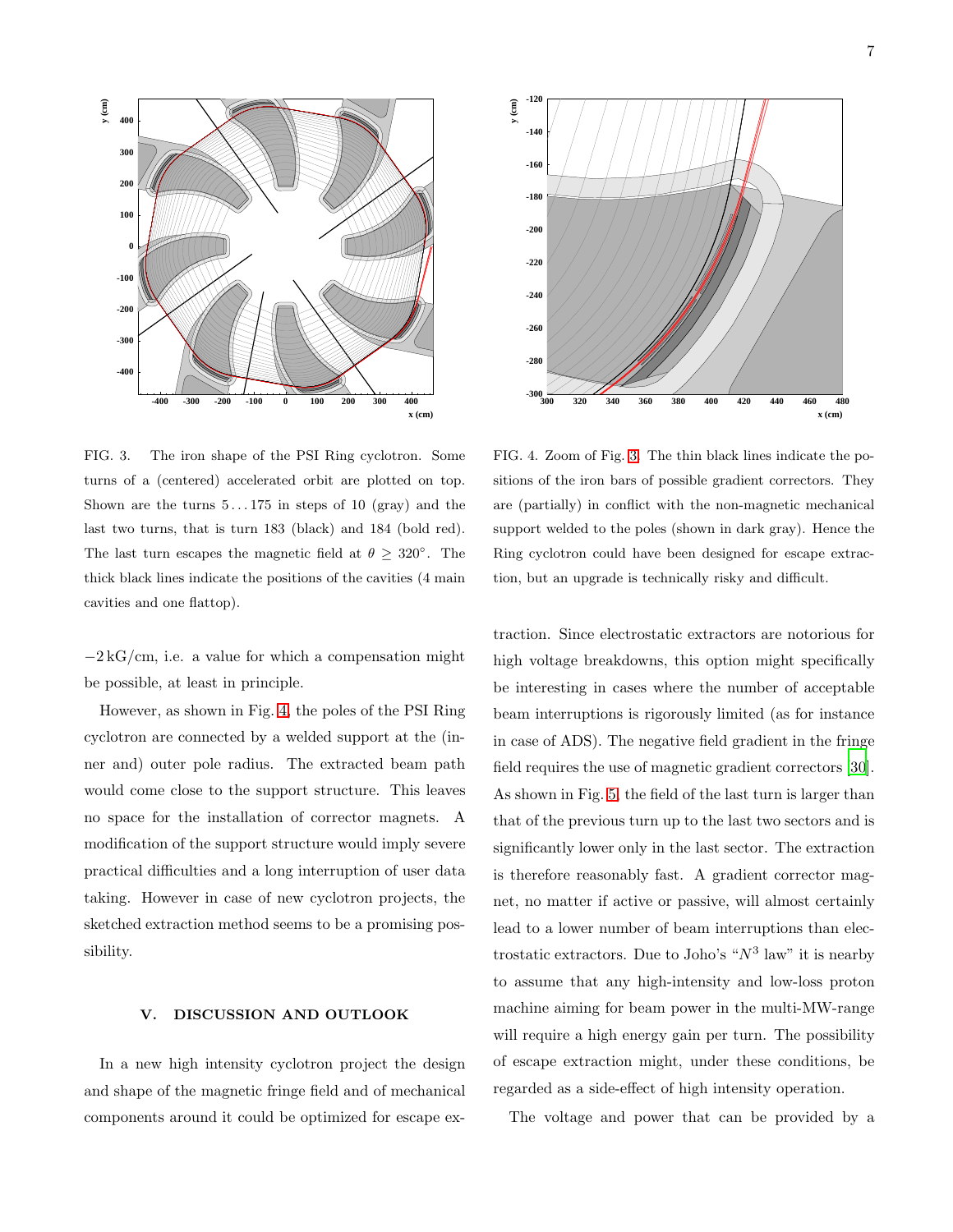



<span id="page-6-0"></span>FIG. 3. The iron shape of the PSI Ring cyclotron. Some turns of a (centered) accelerated orbit are plotted on top. Shown are the turns  $5 \dots 175$  in steps of 10 (gray) and the last two turns, that is turn 183 (black) and 184 (bold red). The last turn escapes the magnetic field at  $\theta \geq 320^{\circ}$ . The thick black lines indicate the positions of the cavities (4 main cavities and one flattop).

 $-2 kG/cm$ , i.e. a value for which a compensation might be possible, at least in principle.

However, as shown in Fig. [4,](#page-6-1) the poles of the PSI Ring cyclotron are connected by a welded support at the (inner and) outer pole radius. The extracted beam path would come close to the support structure. This leaves no space for the installation of corrector magnets. A modification of the support structure would imply severe practical difficulties and a long interruption of user data taking. However in case of new cyclotron projects, the sketched extraction method seems to be a promising possibility.

## V. DISCUSSION AND OUTLOOK

In a new high intensity cyclotron project the design and shape of the magnetic fringe field and of mechanical components around it could be optimized for escape ex-

<span id="page-6-1"></span>FIG. 4. Zoom of Fig. [3.](#page-6-0) The thin black lines indicate the positions of the iron bars of possible gradient correctors. They are (partially) in conflict with the non-magnetic mechanical support welded to the poles (shown in dark gray). Hence the Ring cyclotron could have been designed for escape extraction, but an upgrade is technically risky and difficult.

traction. Since electrostatic extractors are notorious for high voltage breakdowns, this option might specifically be interesting in cases where the number of acceptable beam interruptions is rigorously limited (as for instance in case of ADS). The negative field gradient in the fringe field requires the use of magnetic gradient correctors [\[30\]](#page-9-4). As shown in Fig. [5,](#page-7-1) the field of the last turn is larger than that of the previous turn up to the last two sectors and is significantly lower only in the last sector. The extraction is therefore reasonably fast. A gradient corrector magnet, no matter if active or passive, will almost certainly lead to a lower number of beam interruptions than electrostatic extractors. Due to Joho's " $N^3$  law" it is nearby to assume that any high-intensity and low-loss proton machine aiming for beam power in the multi-MW-range will require a high energy gain per turn. The possibility of escape extraction might, under these conditions, be regarded as a side-effect of high intensity operation.

The voltage and power that can be provided by a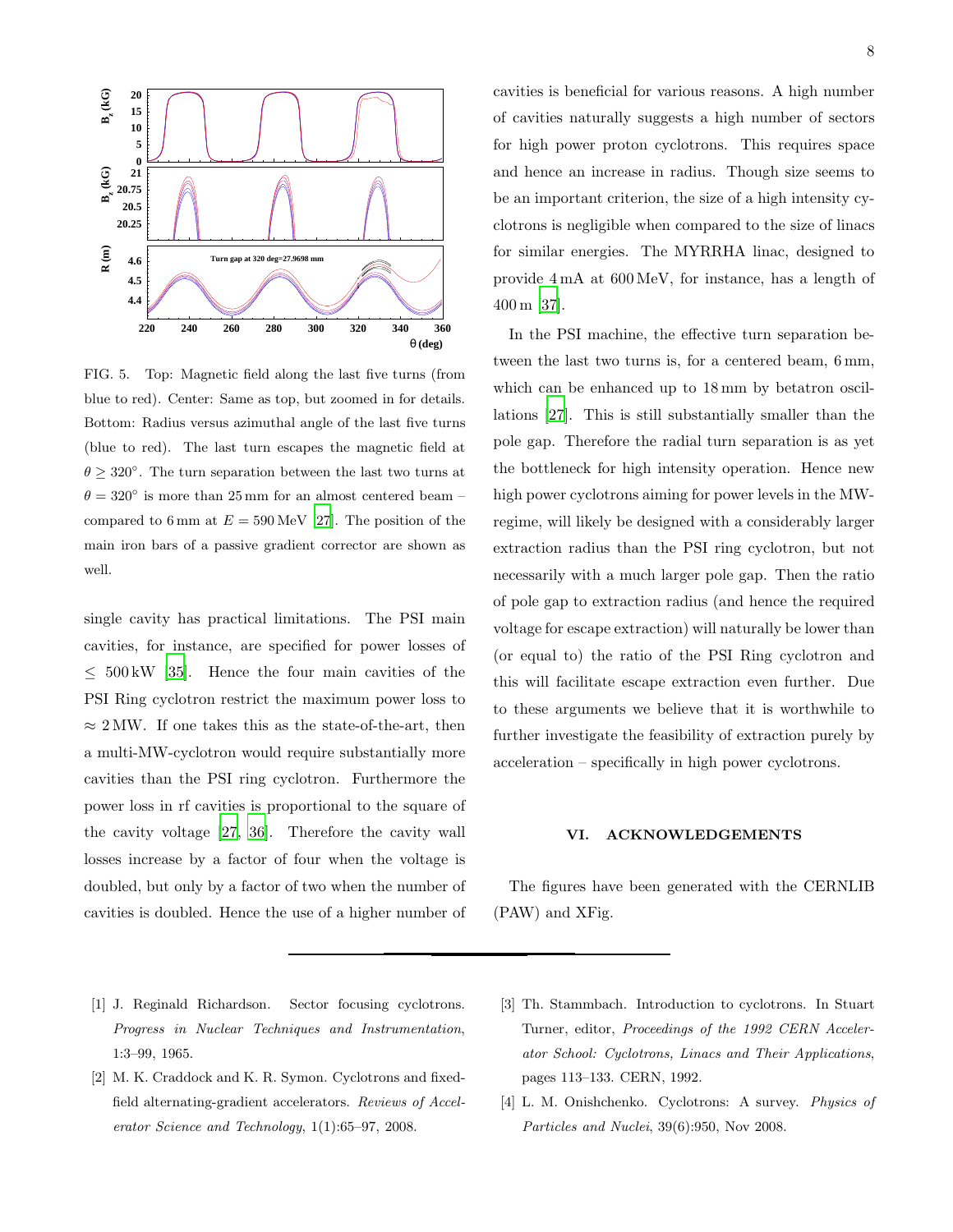

<span id="page-7-1"></span>FIG. 5. Top: Magnetic field along the last five turns (from blue to red). Center: Same as top, but zoomed in for details. Bottom: Radius versus azimuthal angle of the last five turns (blue to red). The last turn escapes the magnetic field at  $\theta \geq 320^{\circ}$ . The turn separation between the last two turns at  $\theta = 320^{\circ}$  is more than 25 mm for an almost centered beam – compared to 6 mm at  $E = 590 \,\text{MeV}$  [\[27](#page-9-1)]. The position of the main iron bars of a passive gradient corrector are shown as well.

single cavity has practical limitations. The PSI main cavities, for instance, are specified for power losses of  $\leq 500 \,\mathrm{kW}$  [\[35](#page-9-9)]. Hence the four main cavities of the PSI Ring cyclotron restrict the maximum power loss to  $\approx 2$  MW. If one takes this as the state-of-the-art, then a multi-MW-cyclotron would require substantially more cavities than the PSI ring cyclotron. Furthermore the power loss in rf cavities is proportional to the square of the cavity voltage [\[27,](#page-9-1) [36](#page-9-10)]. Therefore the cavity wall losses increase by a factor of four when the voltage is doubled, but only by a factor of two when the number of cavities is doubled. Hence the use of a higher number of cavities is beneficial for various reasons. A high number of cavities naturally suggests a high number of sectors for high power proton cyclotrons. This requires space and hence an increase in radius. Though size seems to be an important criterion, the size of a high intensity cyclotrons is negligible when compared to the size of linacs for similar energies. The MYRRHA linac, designed to provide 4 mA at 600 MeV, for instance, has a length of 400 m [\[37\]](#page-9-11).

In the PSI machine, the effective turn separation between the last two turns is, for a centered beam, 6 mm, which can be enhanced up to  $18 \text{ mm}$  by betatron oscillations [\[27\]](#page-9-1). This is still substantially smaller than the pole gap. Therefore the radial turn separation is as yet the bottleneck for high intensity operation. Hence new high power cyclotrons aiming for power levels in the MWregime, will likely be designed with a considerably larger extraction radius than the PSI ring cyclotron, but not necessarily with a much larger pole gap. Then the ratio of pole gap to extraction radius (and hence the required voltage for escape extraction) will naturally be lower than (or equal to) the ratio of the PSI Ring cyclotron and this will facilitate escape extraction even further. Due to these arguments we believe that it is worthwhile to further investigate the feasibility of extraction purely by acceleration – specifically in high power cyclotrons.

#### VI. ACKNOWLEDGEMENTS

The figures have been generated with the CERNLIB (PAW) and XFig.

- <span id="page-7-0"></span>[1] J. Reginald Richardson. Sector focusing cyclotrons. *Progress in Nuclear Techniques and Instrumentation*, 1:3–99, 1965.
- [2] M. K. Craddock and K. R. Symon. Cyclotrons and fixedfield alternating-gradient accelerators. *Reviews of Accelerator Science and Technology*, 1(1):65–97, 2008.
- [3] Th. Stammbach. Introduction to cyclotrons. In Stuart Turner, editor, *Proceedings of the 1992 CERN Accelerator School: Cyclotrons, Linacs and Their Applications*, pages 113–133. CERN, 1992.
- [4] L. M. Onishchenko. Cyclotrons: A survey. *Physics of Particles and Nuclei*, 39(6):950, Nov 2008.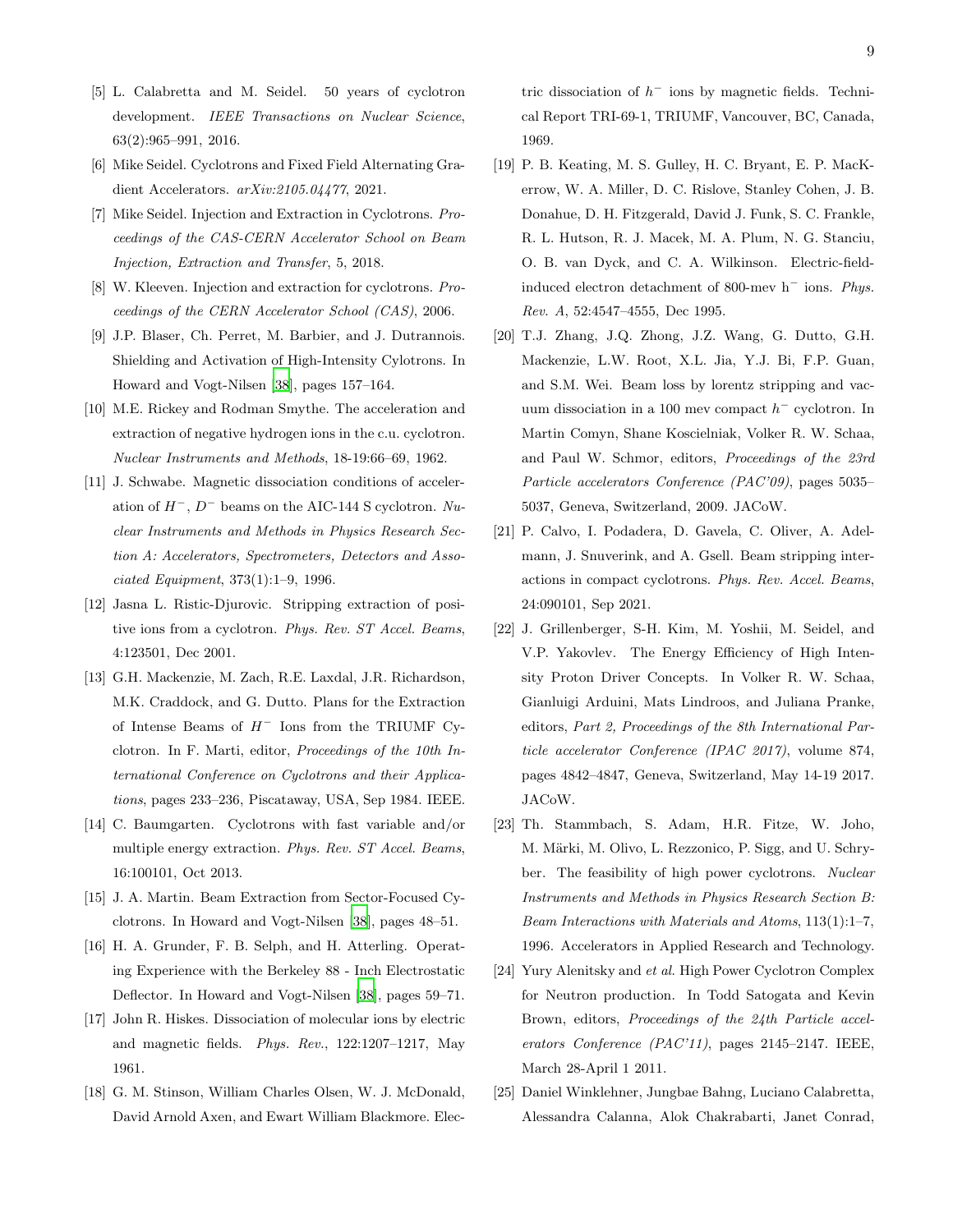- [5] L. Calabretta and M. Seidel. 50 years of cyclotron development. *IEEE Transactions on Nuclear Science*, 63(2):965–991, 2016.
- [6] Mike Seidel. Cyclotrons and Fixed Field Alternating Gradient Accelerators. *arXiv:2105.04477*, 2021.
- [7] Mike Seidel. Injection and Extraction in Cyclotrons. *Proceedings of the CAS-CERN Accelerator School on Beam Injection, Extraction and Transfer*, 5, 2018.
- <span id="page-8-0"></span>[8] W. Kleeven. Injection and extraction for cyclotrons. *Proceedings of the CERN Accelerator School (CAS)*, 2006.
- <span id="page-8-1"></span>[9] J.P. Blaser, Ch. Perret, M. Barbier, and J. Dutrannois. Shielding and Activation of High-Intensity Cylotrons. In Howard and Vogt-Nilsen [\[38\]](#page-9-12), pages 157–164.
- <span id="page-8-2"></span>[10] M.E. Rickey and Rodman Smythe. The acceleration and extraction of negative hydrogen ions in the c.u. cyclotron. *Nuclear Instruments and Methods*, 18-19:66–69, 1962.
- [11] J. Schwabe. Magnetic dissociation conditions of acceleration of  $H^-$ ,  $D^-$  beams on the AIC-144 S cyclotron.  $Nu$ *clear Instruments and Methods in Physics Research Section A: Accelerators, Spectrometers, Detectors and Associated Equipment*, 373(1):1–9, 1996.
- [12] Jasna L. Ristic-Djurovic. Stripping extraction of positive ions from a cyclotron. *Phys. Rev. ST Accel. Beams*, 4:123501, Dec 2001.
- [13] G.H. Mackenzie, M. Zach, R.E. Laxdal, J.R. Richardson, M.K. Craddock, and G. Dutto. Plans for the Extraction of Intense Beams of  $H^-$  Ions from the TRIUMF Cyclotron. In F. Marti, editor, *Proceedings of the 10th International Conference on Cyclotrons and their Applications*, pages 233–236, Piscataway, USA, Sep 1984. IEEE.
- <span id="page-8-3"></span>[14] C. Baumgarten. Cyclotrons with fast variable and/or multiple energy extraction. *Phys. Rev. ST Accel. Beams*, 16:100101, Oct 2013.
- <span id="page-8-4"></span>[15] J. A. Martin. Beam Extraction from Sector-Focused Cyclotrons. In Howard and Vogt-Nilsen [\[38](#page-9-12)], pages 48–51.
- <span id="page-8-5"></span>[16] H. A. Grunder, F. B. Selph, and H. Atterling. Operating Experience with the Berkeley 88 - Inch Electrostatic Deflector. In Howard and Vogt-Nilsen [\[38](#page-9-12)], pages 59–71.
- <span id="page-8-6"></span>[17] John R. Hiskes. Dissociation of molecular ions by electric and magnetic fields. *Phys. Rev.*, 122:1207–1217, May 1961.
- [18] G. M. Stinson, William Charles Olsen, W. J. McDonald, David Arnold Axen, and Ewart William Blackmore. Elec-

tric dissociation of  $h^-$  ions by magnetic fields. Technical Report TRI-69-1, TRIUMF, Vancouver, BC, Canada, 1969.

- [19] P. B. Keating, M. S. Gulley, H. C. Bryant, E. P. MacKerrow, W. A. Miller, D. C. Rislove, Stanley Cohen, J. B. Donahue, D. H. Fitzgerald, David J. Funk, S. C. Frankle, R. L. Hutson, R. J. Macek, M. A. Plum, N. G. Stanciu, O. B. van Dyck, and C. A. Wilkinson. Electric-fieldinduced electron detachment of 800-mev h<sup>−</sup> ions. *Phys. Rev. A*, 52:4547–4555, Dec 1995.
- [20] T.J. Zhang, J.Q. Zhong, J.Z. Wang, G. Dutto, G.H. Mackenzie, L.W. Root, X.L. Jia, Y.J. Bi, F.P. Guan, and S.M. Wei. Beam loss by lorentz stripping and vacuum dissociation in a 100 mev compact  $h^-$  cyclotron. In Martin Comyn, Shane Koscielniak, Volker R. W. Schaa, and Paul W. Schmor, editors, *Proceedings of the 23rd Particle accelerators Conference (PAC'09)*, pages 5035– 5037, Geneva, Switzerland, 2009. JACoW.
- <span id="page-8-7"></span>[21] P. Calvo, I. Podadera, D. Gavela, C. Oliver, A. Adelmann, J. Snuverink, and A. Gsell. Beam stripping interactions in compact cyclotrons. *Phys. Rev. Accel. Beams*, 24:090101, Sep 2021.
- <span id="page-8-8"></span>[22] J. Grillenberger, S-H. Kim, M. Yoshii, M. Seidel, and V.P. Yakovlev. The Energy Efficiency of High Intensity Proton Driver Concepts. In Volker R. W. Schaa, Gianluigi Arduini, Mats Lindroos, and Juliana Pranke, editors, *Part 2, Proceedings of the 8th International Particle accelerator Conference (IPAC 2017)*, volume 874, pages 4842–4847, Geneva, Switzerland, May 14-19 2017. JACoW.
- <span id="page-8-9"></span>[23] Th. Stammbach, S. Adam, H.R. Fitze, W. Joho, M. Märki, M. Olivo, L. Rezzonico, P. Sigg, and U. Schryber. The feasibility of high power cyclotrons. *Nuclear Instruments and Methods in Physics Research Section B: Beam Interactions with Materials and Atoms*, 113(1):1–7, 1996. Accelerators in Applied Research and Technology.
- [24] Yury Alenitsky and *et al*. High Power Cyclotron Complex for Neutron production. In Todd Satogata and Kevin Brown, editors, *Proceedings of the 24th Particle accelerators Conference (PAC'11)*, pages 2145–2147. IEEE, March 28-April 1 2011.
- [25] Daniel Winklehner, Jungbae Bahng, Luciano Calabretta, Alessandra Calanna, Alok Chakrabarti, Janet Conrad,